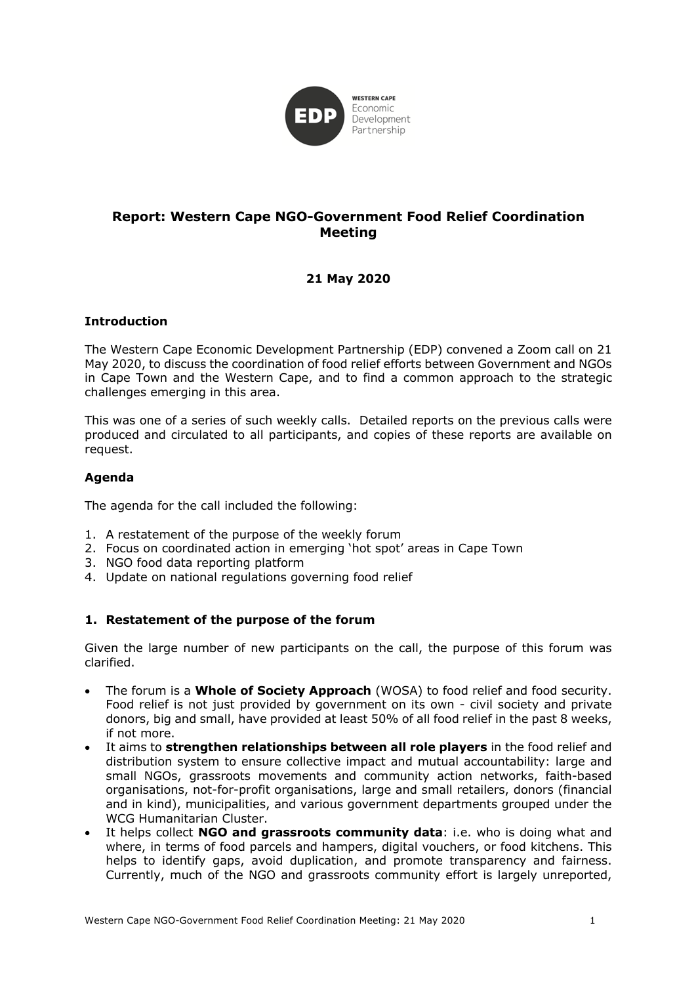

# **Report: Western Cape NGO-Government Food Relief Coordination Meeting**

# **21 May 2020**

## **Introduction**

The Western Cape Economic Development Partnership (EDP) convened a Zoom call on 21 May 2020, to discuss the coordination of food relief efforts between Government and NGOs in Cape Town and the Western Cape, and to find a common approach to the strategic challenges emerging in this area.

This was one of a series of such weekly calls. Detailed reports on the previous calls were produced and circulated to all participants, and copies of these reports are available on request.

## **Agenda**

The agenda for the call included the following:

- 1. A restatement of the purpose of the weekly forum
- 2. Focus on coordinated action in emerging 'hot spot' areas in Cape Town
- 3. NGO food data reporting platform
- 4. Update on national regulations governing food relief

### **1. Restatement of the purpose of the forum**

Given the large number of new participants on the call, the purpose of this forum was clarified.

- The forum is a **Whole of Society Approach** (WOSA) to food relief and food security. Food relief is not just provided by government on its own - civil society and private donors, big and small, have provided at least 50% of all food relief in the past 8 weeks, if not more.
- It aims to **strengthen relationships between all role players** in the food relief and distribution system to ensure collective impact and mutual accountability: large and small NGOs, grassroots movements and community action networks, faith-based organisations, not-for-profit organisations, large and small retailers, donors (financial and in kind), municipalities, and various government departments grouped under the WCG Humanitarian Cluster.
- It helps collect **NGO and grassroots community data**: i.e. who is doing what and where, in terms of food parcels and hampers, digital vouchers, or food kitchens. This helps to identify gaps, avoid duplication, and promote transparency and fairness. Currently, much of the NGO and grassroots community effort is largely unreported,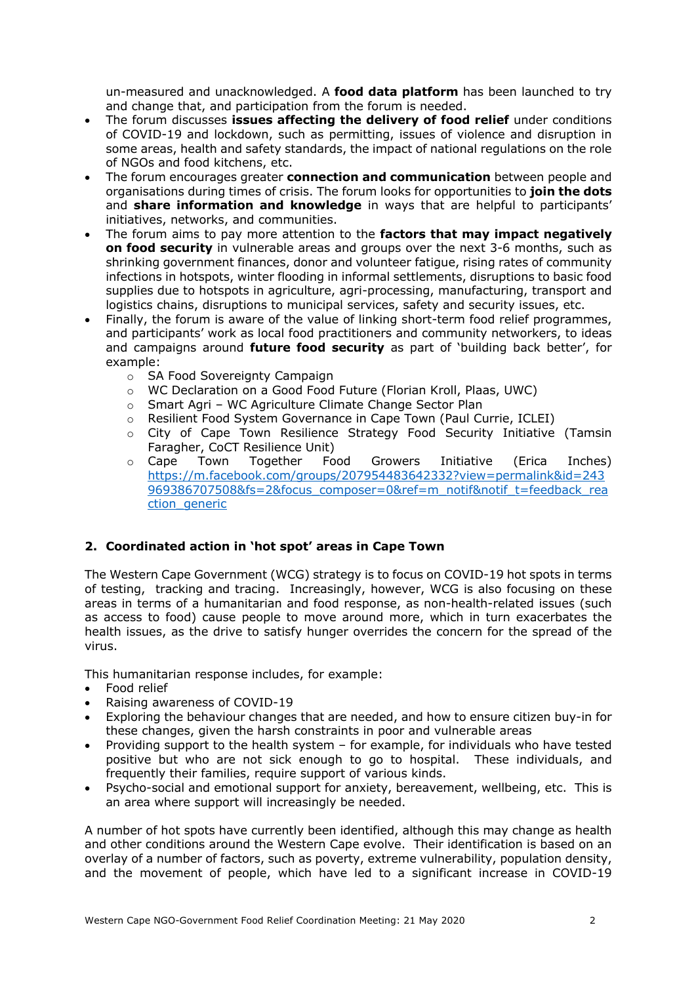un-measured and unacknowledged. A **food data platform** has been launched to try and change that, and participation from the forum is needed.

- The forum discusses **issues affecting the delivery of food relief** under conditions of COVID-19 and lockdown, such as permitting, issues of violence and disruption in some areas, health and safety standards, the impact of national regulations on the role of NGOs and food kitchens, etc.
- The forum encourages greater **connection and communication** between people and organisations during times of crisis. The forum looks for opportunities to **join the dots** and **share information and knowledge** in ways that are helpful to participants' initiatives, networks, and communities.
- The forum aims to pay more attention to the **factors that may impact negatively on food security** in vulnerable areas and groups over the next 3-6 months, such as shrinking government finances, donor and volunteer fatigue, rising rates of community infections in hotspots, winter flooding in informal settlements, disruptions to basic food supplies due to hotspots in agriculture, agri-processing, manufacturing, transport and logistics chains, disruptions to municipal services, safety and security issues, etc.
- Finally, the forum is aware of the value of linking short-term food relief programmes, and participants' work as local food practitioners and community networkers, to ideas and campaigns around **future food security** as part of 'building back better', for example:
	- o SA Food Sovereignty Campaign
	- o WC Declaration on a Good Food Future (Florian Kroll, Plaas, UWC)
	- o Smart Agri WC Agriculture Climate Change Sector Plan
	- o Resilient Food System Governance in Cape Town (Paul Currie, ICLEI)
	- o City of Cape Town Resilience Strategy Food Security Initiative (Tamsin Faragher, CoCT Resilience Unit)
	- o Cape Town Together Food Growers Initiative (Erica Inches) https://m.facebook.com/groups/207954483642332?view=permalink&id=243 969386707508&fs=2&focus\_composer=0&ref=m\_notif&notif\_t=feedback\_rea ction generic

# **2. Coordinated action in 'hot spot' areas in Cape Town**

The Western Cape Government (WCG) strategy is to focus on COVID-19 hot spots in terms of testing, tracking and tracing. Increasingly, however, WCG is also focusing on these areas in terms of a humanitarian and food response, as non-health-related issues (such as access to food) cause people to move around more, which in turn exacerbates the health issues, as the drive to satisfy hunger overrides the concern for the spread of the virus.

This humanitarian response includes, for example:

- Food relief
- Raising awareness of COVID-19
- Exploring the behaviour changes that are needed, and how to ensure citizen buy-in for these changes, given the harsh constraints in poor and vulnerable areas
- Providing support to the health system for example, for individuals who have tested positive but who are not sick enough to go to hospital. These individuals, and frequently their families, require support of various kinds.
- Psycho-social and emotional support for anxiety, bereavement, wellbeing, etc. This is an area where support will increasingly be needed.

A number of hot spots have currently been identified, although this may change as health and other conditions around the Western Cape evolve. Their identification is based on an overlay of a number of factors, such as poverty, extreme vulnerability, population density, and the movement of people, which have led to a significant increase in COVID-19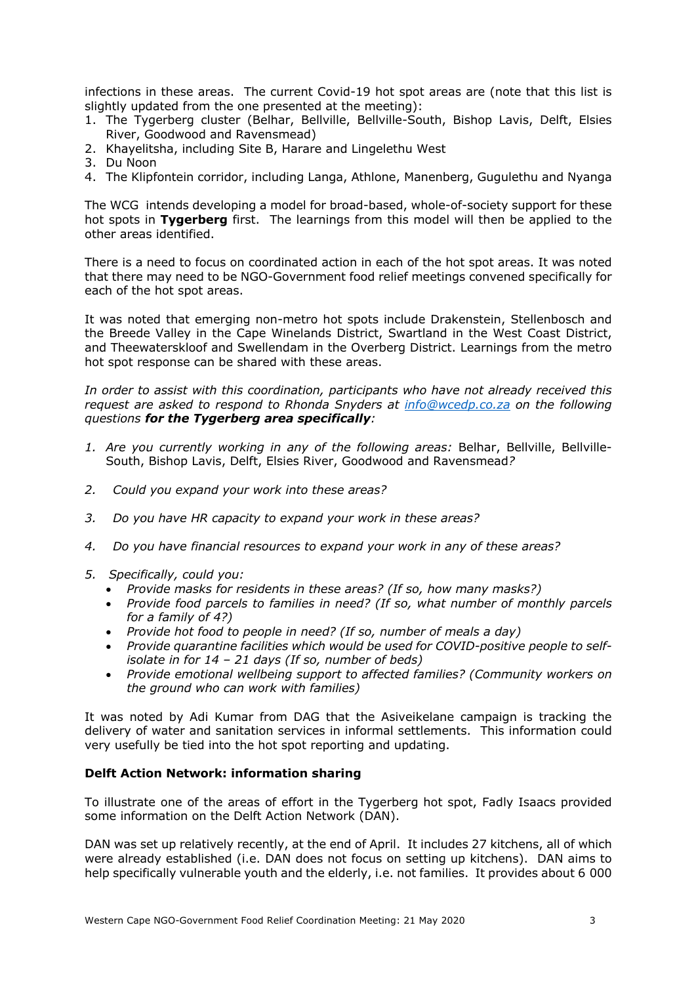infections in these areas. The current Covid-19 hot spot areas are (note that this list is slightly updated from the one presented at the meeting):

- 1. The Tygerberg cluster (Belhar, Bellville, Bellville-South, Bishop Lavis, Delft, Elsies River, Goodwood and Ravensmead)
- 2. Khayelitsha, including Site B, Harare and Lingelethu West
- 3. Du Noon
- 4. The Klipfontein corridor, including Langa, Athlone, Manenberg, Gugulethu and Nyanga

The WCG intends developing a model for broad-based, whole-of-society support for these hot spots in **Tygerberg** first. The learnings from this model will then be applied to the other areas identified.

There is a need to focus on coordinated action in each of the hot spot areas. It was noted that there may need to be NGO-Government food relief meetings convened specifically for each of the hot spot areas.

It was noted that emerging non-metro hot spots include Drakenstein, Stellenbosch and the Breede Valley in the Cape Winelands District, Swartland in the West Coast District, and Theewaterskloof and Swellendam in the Overberg District. Learnings from the metro hot spot response can be shared with these areas.

*In order to assist with this coordination, participants who have not already received this request are asked to respond to Rhonda Snyders at info@wcedp.co.za on the following questions for the Tygerberg area specifically:*

- *1. Are you currently working in any of the following areas:* Belhar, Bellville, Bellville-South, Bishop Lavis, Delft, Elsies River, Goodwood and Ravensmead*?*
- *2. Could you expand your work into these areas?*
- *3. Do you have HR capacity to expand your work in these areas?*
- *4. Do you have financial resources to expand your work in any of these areas?*
- *5. Specifically, could you:*
	- *Provide masks for residents in these areas? (If so, how many masks?)*
	- *Provide food parcels to families in need? (If so, what number of monthly parcels for a family of 4?)*
	- *Provide hot food to people in need? (If so, number of meals a day)*
	- *Provide quarantine facilities which would be used for COVID-positive people to selfisolate in for 14 – 21 days (If so, number of beds)*
	- *Provide emotional wellbeing support to affected families? (Community workers on the ground who can work with families)*

It was noted by Adi Kumar from DAG that the Asiveikelane campaign is tracking the delivery of water and sanitation services in informal settlements. This information could very usefully be tied into the hot spot reporting and updating.

# **Delft Action Network: information sharing**

To illustrate one of the areas of effort in the Tygerberg hot spot, Fadly Isaacs provided some information on the Delft Action Network (DAN).

DAN was set up relatively recently, at the end of April. It includes 27 kitchens, all of which were already established (i.e. DAN does not focus on setting up kitchens). DAN aims to help specifically vulnerable youth and the elderly, i.e. not families. It provides about 6 000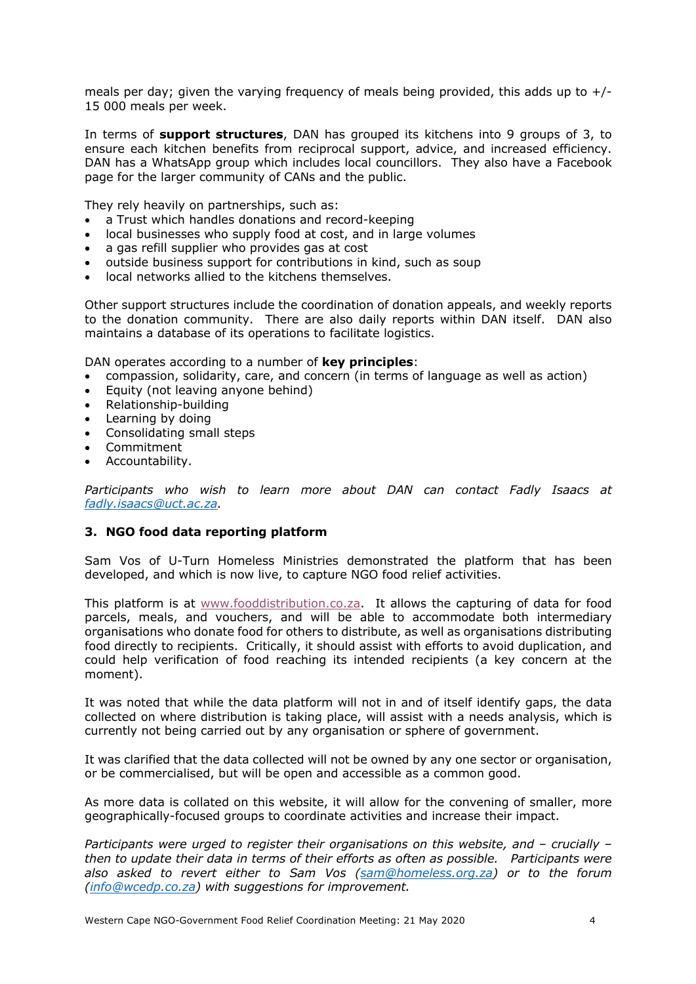meals per day; given the varying frequency of meals being provided, this adds up to  $+/-$ 15 000 meals per week.

In terms of **support structures**, DAN has grouped its kitchens into 9 groups of 3, to ensure each kitchen benefits from reciprocal support, advice, and increased efficiency. DAN has a WhatsApp group which includes local councillors. They also have a Facebook page for the larger community of CANs and the public.

They rely heavily on partnerships, such as:

- a Trust which handles donations and record-keeping
- local businesses who supply food at cost, and in large volumes
- a gas refill supplier who provides gas at cost
- outside business support for contributions in kind, such as soup
- local networks allied to the kitchens themselves.

Other support structures include the coordination of donation appeals, and weekly reports to the donation community. There are also daily reports within DAN itself. DAN also maintains a database of its operations to facilitate logistics.

DAN operates according to a number of **key principles**:

- compassion, solidarity, care, and concern (in terms of language as well as action)
- Equity (not leaving anyone behind)
- Relationship-building
- Learning by doing
- Consolidating small steps
- Commitment
- Accountability.

*Participants who wish to learn more about DAN can contact Fadly Isaacs at fadly.isaacs@uct.ac.za.* 

### **3. NGO food data reporting platform**

Sam Vos of U-Turn Homeless Ministries demonstrated the platform that has been developed, and which is now live, to capture NGO food relief activities.

This platform is at www.fooddistribution.co.za. It allows the capturing of data for food parcels, meals, and vouchers, and will be able to accommodate both intermediary organisations who donate food for others to distribute, as well as organisations distributing food directly to recipients. Critically, it should assist with efforts to avoid duplication, and could help verification of food reaching its intended recipients (a key concern at the moment).

It was noted that while the data platform will not in and of itself identify gaps, the data collected on where distribution is taking place, will assist with a needs analysis, which is currently not being carried out by any organisation or sphere of government.

It was clarified that the data collected will not be owned by any one sector or organisation, or be commercialised, but will be open and accessible as a common good.

As more data is collated on this website, it will allow for the convening of smaller, more geographically-focused groups to coordinate activities and increase their impact.

*Participants were urged to register their organisations on this website, and – crucially – then to update their data in terms of their efforts as often as possible. Participants were also asked to revert either to Sam Vos (sam@homeless.org.za) or to the forum (info@wcedp.co.za) with suggestions for improvement.*